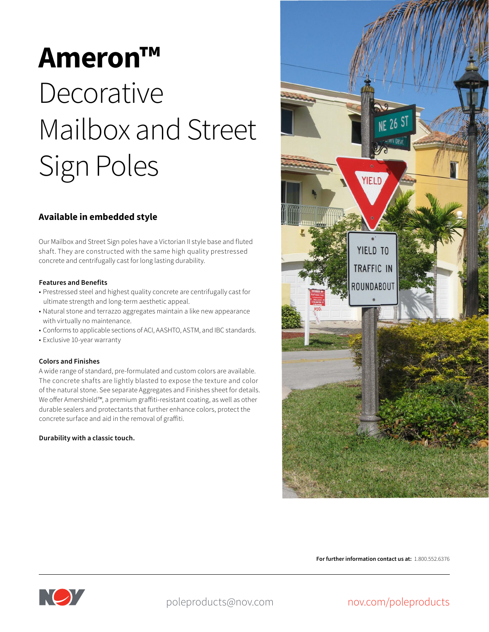# **Ameron™ Decorative** Mailbox and Street Sign Poles

### **Available in embedded style**

Our Mailbox and Street Sign poles have a Victorian II style base and fluted shaft. They are constructed with the same high quality prestressed concrete and centrifugally cast for long lasting durability.

#### **Features and Benefits**

- Prestressed steel and highest quality concrete are centrifugally cast for ultimate strength and long-term aesthetic appeal.
- Natural stone and terrazzo aggregates maintain a like new appearance with virtually no maintenance.
- Conforms to applicable sections of ACI, AASHTO, ASTM, and IBC standards.
- Exclusive 10-year warranty

#### **Colors and Finishes**

A wide range of standard, pre-formulated and custom colors are available. The concrete shafts are lightly blasted to expose the texture and color of the natural stone. See separate Aggregates and Finishes sheet for details. We offer Amershield™, a premium graffiti-resistant coating, as well as other durable sealers and protectants that further enhance colors, protect the concrete surface and aid in the removal of graffiti.

#### **Durability with a classic touch.**



**For further information contact us at:** 1.800.552.6376



poleproducts@nov.com

## nov.com/poleproducts